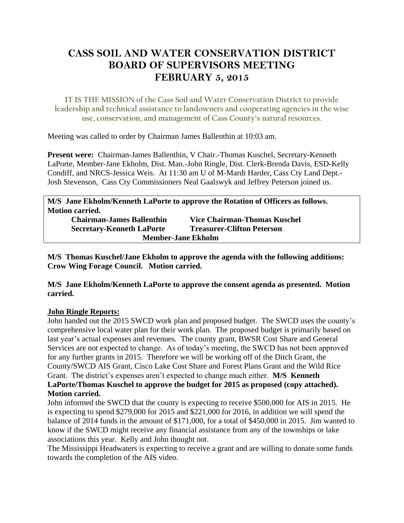# **CASS SOIL AND WATER CONSERVATION DISTRICT BOARD OF SUPERVISORS MEETING FEBRUARY 5, 2015**

**IT IS THE MISSION of the Cass Soil and Water Conservation District to provide leadership and technical assistance to landowners and cooperating agencies in the wise use, conservation, and management of Cass County's natural resources.**

Meeting was called to order by Chairman James Ballenthin at 10:03 am.

**Present were:** Chairman-James Ballenthin, V Chair.-Thomas Kuschel, Secretary-Kenneth LaPorte, Member-Jane Ekholm, Dist. Man.-John Ringle, Dist. Clerk-Brenda Davis, ESD-Kelly Condiff, and NRCS-Jessica Weis. At 11:30 am U of M-Mardi Harder, Cass Cty Land Dept.- Josh Stevenson, Cass Cty Commissioners Neal Gaalswyk and Jeffrey Peterson joined us.

**M/S Jane Ekholm/Kenneth LaPorte to approve the Rotation of Officers as follows. Motion carried.** 

| <b>Chairman-James Ballenthin</b> | <b>Vice Chairman-Thomas Kuschel</b> |
|----------------------------------|-------------------------------------|
| <b>Secretary-Kenneth LaPorte</b> | <b>Treasurer-Clifton Peterson</b>   |
| <b>Member-Jane Ekholm</b>        |                                     |

**M/S Thomas Kuschel/Jane Ekholm to approve the agenda with the following additions: Crow Wing Forage Council. Motion carried.**

**M/S Jane Ekholm/Kenneth LaPorte to approve the consent agenda as presented. Motion carried.**

## **John Ringle Reports:**

John handed out the 2015 SWCD work plan and proposed budget. The SWCD uses the county's comprehensive local water plan for their work plan. The proposed budget is primarily based on last year's actual expenses and revenues. The county grant, BWSR Cost Share and General Services are not expected to change. As of today's meeting, the SWCD has not been approved for any further grants in 2015. Therefore we will be working off of the Ditch Grant, the County/SWCD AIS Grant, Cisco Lake Cost Share and Forest Plans Grant and the Wild Rice Grant. The district's expenses aren't expected to change much either. **M/S Kenneth LaPorte/Thomas Kuschel to approve the budget for 2015 as proposed (copy attached). Motion carried.**

John informed the SWCD that the county is expecting to receive \$500,000 for AIS in 2015. He is expecting to spend \$279,000 for 2015 and \$221,000 for 2016, in addition we will spend the balance of 2014 funds in the amount of \$171,000, for a total of \$450,000 in 2015. Jim wanted to know if the SWCD might receive any financial assistance from any of the townships or lake associations this year. Kelly and John thought not.

The Mississippi Headwaters is expecting to receive a grant and are willing to donate some funds towards the completion of the AIS video.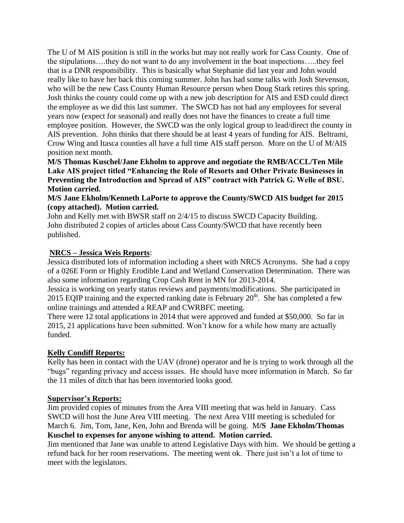The U of M AIS position is still in the works but may not really work for Cass County. One of the stipulations….they do not want to do any involvement in the boat inspections…..they feel that is a DNR responsibility. This is basically what Stephanie did last year and John would really like to have her back this coming summer. John has had some talks with Josh Stevenson, who will be the new Cass County Human Resource person when Doug Stark retires this spring. Josh thinks the county could come up with a new job description for AIS and ESD could direct the employee as we did this last summer. The SWCD has not had any employees for several years now (expect for seasonal) and really does not have the finances to create a full time employee position. However, the SWCD was the only logical group to lead/direct the county in AIS prevention. John thinks that there should be at least 4 years of funding for AIS. Beltrami, Crow Wing and Itasca counties all have a full time AIS staff person. More on the U of M/AIS position next month.

**M/S Thomas Kuschel/Jane Ekholm to approve and negotiate the RMB/ACCL/Ten Mile Lake AIS project titled "Enhancing the Role of Resorts and Other Private Businesses in Preventing the Introduction and Spread of AIS" contract with Patrick G. Welle of BSU. Motion carried.**

**M/S Jane Ekholm/Kenneth LaPorte to approve the County/SWCD AIS budget for 2015 (copy attached). Motion carried.**

John and Kelly met with BWSR staff on 2/4/15 to discuss SWCD Capacity Building. John distributed 2 copies of articles about Cass County/SWCD that have recently been published.

#### **NRCS – Jessica Weis Reports**:

Jessica distributed lots of information including a sheet with NRCS Acronyms. She had a copy of a 026E Form or Highly Erodible Land and Wetland Conservation Determination. There was also some information regarding Crop Cash Rent in MN for 2013-2014.

Jessica is working on yearly status reviews and payments/modifications. She participated in 2015 EQIP training and the expected ranking date is February  $20<sup>th</sup>$ . She has completed a few online trainings and attended a REAP and CWRBFC meeting.

There were 12 total applications in 2014 that were approved and funded at \$50,000. So far in 2015, 21 applications have been submitted. Won't know for a while how many are actually funded.

## **Kelly Condiff Reports:**

Kelly has been in contact with the UAV (drone) operator and he is trying to work through all the "bugs" regarding privacy and access issues. He should have more information in March. So far the 11 miles of ditch that has been inventoried looks good.

#### **Supervisor's Reports:**

Jim provided copies of minutes from the Area VIII meeting that was held in January. Cass SWCD will host the June Area VIII meeting. The next Area VIII meeting is scheduled for March 6. Jim, Tom, Jane, Ken, John and Brenda will be going. M**/S Jane Ekholm/Thomas Kuschel to expenses for anyone wishing to attend. Motion carried.** 

Jim mentioned that Jane was unable to attend Legislative Days with him. We should be getting a refund back for her room reservations. The meeting went ok. There just isn't a lot of time to meet with the legislators.